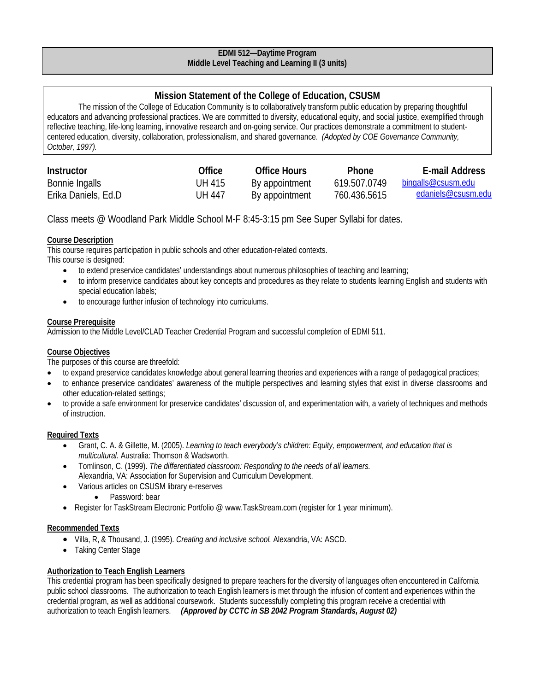### **EDMI 512—Daytime Program Middle Level Teaching and Learning II (3 units)**

# **Mission Statement of the College of Education, CSUSM**

The mission of the College of Education Community is to collaboratively transform public education by preparing thoughtful educators and advancing professional practices. We are committed to diversity, educational equity, and social justice, exemplified through reflective teaching, life-long learning, innovative research and on-going service. Our practices demonstrate a commitment to studentcentered education, diversity, collaboration, professionalism, and shared governance. *(Adopted by COE Governance Community, October, 1997).*

| Instructor          | Office | Office Hours   | <b>Phone</b> | E-mail Address            |
|---------------------|--------|----------------|--------------|---------------------------|
| Bonnie Ingalls      | UH 415 | By appointment | 619.507.0749 | <u>bingalls@csusm.edu</u> |
| Erika Daniels, Ed.D | UH 447 | By appointment | 760.436.5615 | edaniels@csusm.edu        |

Class meets @ Woodland Park Middle School M-F 8:45-3:15 pm See Super Syllabi for dates.

# **Course Description**

This course requires participation in public schools and other education-related contexts. This course is designed:

- to extend preservice candidates' understandings about numerous philosophies of teaching and learning;
- to inform preservice candidates about key concepts and procedures as they relate to students learning English and students with special education labels;
- to encourage further infusion of technology into curriculums.

# **Course Prerequisite**

Admission to the Middle Level/CLAD Teacher Credential Program and successful completion of EDMI 511.

# **Course Objectives**

The purposes of this course are threefold:

- to expand preservice candidates knowledge about general learning theories and experiences with a range of pedagogical practices;
- to enhance preservice candidates' awareness of the multiple perspectives and learning styles that exist in diverse classrooms and other education-related settings;
- to provide a safe environment for preservice candidates' discussion of, and experimentation with, a variety of techniques and methods of instruction.

### **Required Texts**

- Grant, C. A. & Gillette, M. (2005). *Learning to teach everybody's children: Equity, empowerment, and education that is multicultural.* Australia: Thomson & Wadsworth.
- Tomlinson, C. (1999). *The differentiated classroom: Responding to the needs of all learners.*  Alexandria, VA: Association for Supervision and Curriculum Development.
- Various articles on CSUSM library e-reserves
	- Password: bear
- Register for TaskStream Electronic Portfolio @ www.TaskStream.com (register for 1 year minimum).

# **Recommended Texts**

- Villa, R, & Thousand, J. (1995). *Creating and inclusive school.* Alexandria, VA: ASCD.
- Taking Center Stage

# **Authorization to Teach English Learners**

This credential program has been specifically designed to prepare teachers for the diversity of languages often encountered in California public school classrooms. The authorization to teach English learners is met through the infusion of content and experiences within the credential program, as well as additional coursework. Students successfully completing this program receive a credential with authorization to teach English learners. *(Approved by CCTC in SB 2042 Program Standards, August 02)*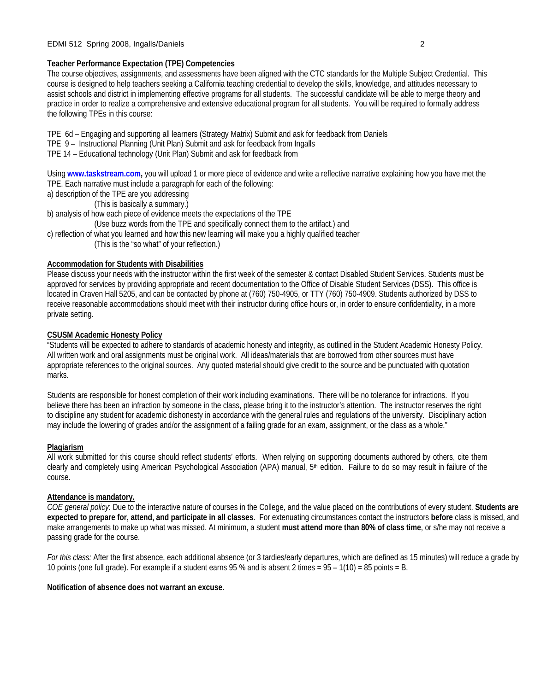### **Teacher Performance Expectation (TPE) Competencies**

The course objectives, assignments, and assessments have been aligned with the CTC standards for the Multiple Subject Credential. This course is designed to help teachers seeking a California teaching credential to develop the skills, knowledge, and attitudes necessary to assist schools and district in implementing effective programs for all students. The successful candidate will be able to merge theory and practice in order to realize a comprehensive and extensive educational program for all students. You will be required to formally address the following TPEs in this course:

TPE 6d – Engaging and supporting all learners (Strategy Matrix) Submit and ask for feedback from Daniels

- TPE 9 Instructional Planning (Unit Plan) Submit and ask for feedback from Ingalls
- TPE 14 Educational technology (Unit Plan) Submit and ask for feedback from

Using **www.taskstream.com,** you will upload 1 or more piece of evidence and write a reflective narrative explaining how you have met the TPE. Each narrative must include a paragraph for each of the following:

- a) description of the TPE are you addressing
	- (This is basically a summary.)
- b) analysis of how each piece of evidence meets the expectations of the TPE
	- (Use buzz words from the TPE and specifically connect them to the artifact.) and
- c) reflection of what you learned and how this new learning will make you a highly qualified teacher
	- (This is the "so what" of your reflection.)

### **Accommodation for Students with Disabilities**

Please discuss your needs with the instructor within the first week of the semester & contact Disabled Student Services. Students must be approved for services by providing appropriate and recent documentation to the Office of Disable Student Services (DSS). This office is located in Craven Hall 5205, and can be contacted by phone at (760) 750-4905, or TTY (760) 750-4909. Students authorized by DSS to receive reasonable accommodations should meet with their instructor during office hours or, in order to ensure confidentiality, in a more private setting.

### **CSUSM Academic Honesty Policy**

"Students will be expected to adhere to standards of academic honesty and integrity, as outlined in the Student Academic Honesty Policy. All written work and oral assignments must be original work. All ideas/materials that are borrowed from other sources must have appropriate references to the original sources. Any quoted material should give credit to the source and be punctuated with quotation marks.

Students are responsible for honest completion of their work including examinations. There will be no tolerance for infractions. If you believe there has been an infraction by someone in the class, please bring it to the instructor's attention. The instructor reserves the right to discipline any student for academic dishonesty in accordance with the general rules and regulations of the university. Disciplinary action may include the lowering of grades and/or the assignment of a failing grade for an exam, assignment, or the class as a whole."

### **Plagiarism**

All work submitted for this course should reflect students' efforts. When relying on supporting documents authored by others, cite them clearly and completely using American Psychological Association (APA) manual, 5th edition. Failure to do so may result in failure of the course.

### **Attendance is mandatory.**

*COE general policy*: Due to the interactive nature of courses in the College, and the value placed on the contributions of every student. **Students are expected to prepare for, attend, and participate in all classes**. For extenuating circumstances contact the instructors **before** class is missed, and make arrangements to make up what was missed. At minimum, a student **must attend more than 80% of class time**, or s/he may not receive a passing grade for the course.

*For this class:* After the first absence, each additional absence (or 3 tardies/early departures, which are defined as 15 minutes) will reduce a grade by 10 points (one full grade). For example if a student earns 95 % and is absent 2 times = 95 – 1(10) = 85 points = B.

### **Notification of absence does not warrant an excuse.**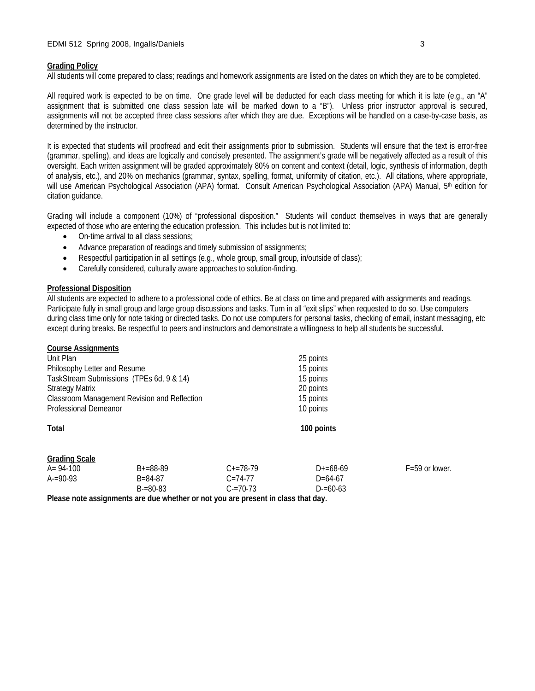#### **Grading Policy**

All students will come prepared to class; readings and homework assignments are listed on the dates on which they are to be completed.

All required work is expected to be on time. One grade level will be deducted for each class meeting for which it is late (e.g., an "A" assignment that is submitted one class session late will be marked down to a "B"). Unless prior instructor approval is secured, assignments will not be accepted three class sessions after which they are due. Exceptions will be handled on a case-by-case basis, as determined by the instructor.

It is expected that students will proofread and edit their assignments prior to submission. Students will ensure that the text is error-free (grammar, spelling), and ideas are logically and concisely presented. The assignment's grade will be negatively affected as a result of this oversight. Each written assignment will be graded approximately 80% on content and context (detail, logic, synthesis of information, depth of analysis, etc.), and 20% on mechanics (grammar, syntax, spelling, format, uniformity of citation, etc.). All citations, where appropriate, will use American Psychological Association (APA) format. Consult American Psychological Association (APA) Manual, 5<sup>th</sup> edition for citation guidance.

Grading will include a component (10%) of "professional disposition." Students will conduct themselves in ways that are generally expected of those who are entering the education profession. This includes but is not limited to:

- On-time arrival to all class sessions;
- Advance preparation of readings and timely submission of assignments;
- Respectful participation in all settings (e.g., whole group, small group, in/outside of class);
- Carefully considered, culturally aware approaches to solution-finding.

### **Professional Disposition**

**Course Assignments**

All students are expected to adhere to a professional code of ethics. Be at class on time and prepared with assignments and readings. Participate fully in small group and large group discussions and tasks. Turn in all "exit slips" when requested to do so. Use computers during class time only for note taking or directed tasks. Do not use computers for personal tasks, checking of email, instant messaging, etc except during breaks. Be respectful to peers and instructors and demonstrate a willingness to help all students be successful.

| GUULDE ASSIGNMENTS           |                                                                                    |               |                                     |                    |  |
|------------------------------|------------------------------------------------------------------------------------|---------------|-------------------------------------|--------------------|--|
| Unit Plan                    |                                                                                    |               | 25 points                           |                    |  |
| Philosophy Letter and Resume |                                                                                    |               | 15 points                           |                    |  |
|                              | TaskStream Submissions (TPEs 6d, 9 & 14)                                           |               | 15 points<br>20 points<br>15 points |                    |  |
| <b>Strategy Matrix</b>       |                                                                                    |               |                                     |                    |  |
|                              | Classroom Management Revision and Reflection                                       |               |                                     |                    |  |
| <b>Professional Demeanor</b> |                                                                                    |               | 10 points                           |                    |  |
| <b>Total</b>                 |                                                                                    |               | 100 points                          |                    |  |
| <b>Grading Scale</b>         |                                                                                    |               |                                     |                    |  |
| $A = 94-100$                 | $B+=88-89$                                                                         | $C+=78-79$    | $D+=68-69$                          | $F = 59$ or lower. |  |
| $A = 90-93$                  | $B = 84 - 87$                                                                      | $C = 74 - 77$ | $D = 64-67$                         |                    |  |
|                              | $B = 80 - 83$                                                                      | $C = 70 - 73$ | $D = 60 - 63$                       |                    |  |
|                              | Dlegge note accidentments are due whother ar not vay are present in algos that day |               |                                     |                    |  |

**Please note assignments are due whether or not you are present in class that day.**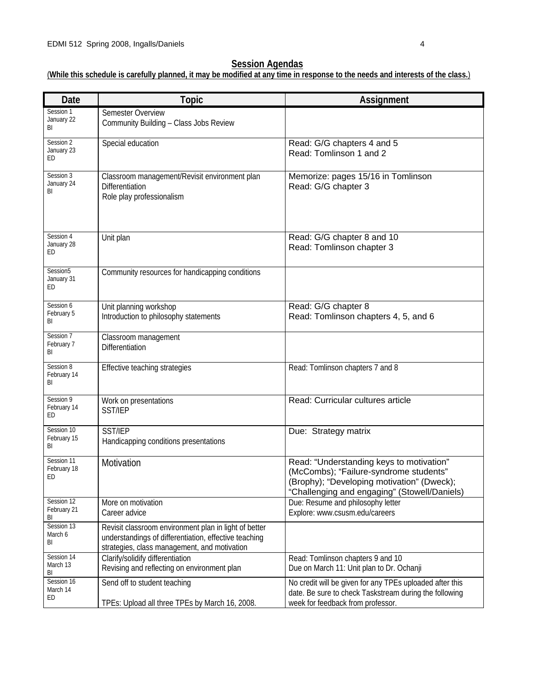# **Session Agendas**

(**While this schedule is carefully planned, it may be modified at any time in response to the needs and interests of the class.**)

| <b>Date</b>                              | <b>Topic</b>                                                                                                                                                   | Assignment                                                                                                                                                                       |
|------------------------------------------|----------------------------------------------------------------------------------------------------------------------------------------------------------------|----------------------------------------------------------------------------------------------------------------------------------------------------------------------------------|
| Session 1<br>January 22<br>BI            | <b>Semester Overview</b><br>Community Building - Class Jobs Review                                                                                             |                                                                                                                                                                                  |
| Session 2<br>January 23<br>ED            | Special education                                                                                                                                              | Read: G/G chapters 4 and 5<br>Read: Tomlinson 1 and 2                                                                                                                            |
| Session 3<br>January 24<br>BI            | Classroom management/Revisit environment plan<br>Differentiation<br>Role play professionalism                                                                  | Memorize: pages 15/16 in Tomlinson<br>Read: G/G chapter 3                                                                                                                        |
| Session 4<br>January 28<br>ED            | Unit plan                                                                                                                                                      | Read: G/G chapter 8 and 10<br>Read: Tomlinson chapter 3                                                                                                                          |
| Session <sub>5</sub><br>January 31<br>ED | Community resources for handicapping conditions                                                                                                                |                                                                                                                                                                                  |
| Session 6<br>February 5<br>BI            | Unit planning workshop<br>Introduction to philosophy statements                                                                                                | Read: G/G chapter 8<br>Read: Tomlinson chapters 4, 5, and 6                                                                                                                      |
| Session 7<br>February 7<br>BI            | Classroom management<br>Differentiation                                                                                                                        |                                                                                                                                                                                  |
| Session 8<br>February 14<br>BI           | Effective teaching strategies                                                                                                                                  | Read: Tomlinson chapters 7 and 8                                                                                                                                                 |
| Session 9<br>February 14<br>ED           | Work on presentations<br>SST/IEP                                                                                                                               | Read: Curricular cultures article                                                                                                                                                |
| Session 10<br>February 15<br>BI          | <b>SST/IEP</b><br>Handicapping conditions presentations                                                                                                        | Due: Strategy matrix                                                                                                                                                             |
| Session 11<br>February 18<br>ED          | Motivation                                                                                                                                                     | Read: "Understanding keys to motivation"<br>(McCombs); "Failure-syndrome students"<br>(Brophy); "Developing motivation" (Dweck);<br>"Challenging and engaging" (Stowell/Daniels) |
| Session 12<br>February 21<br>BI          | More on motivation<br>Career advice                                                                                                                            | Due: Resume and philosophy letter<br>Explore: www.csusm.edu/careers                                                                                                              |
| Session 13<br>March 6<br>BI              | Revisit classroom environment plan in light of better<br>understandings of differentiation, effective teaching<br>strategies, class management, and motivation |                                                                                                                                                                                  |
| Session 14<br>March 13<br>BI             | Clarify/solidify differentiation<br>Revising and reflecting on environment plan                                                                                | Read: Tomlinson chapters 9 and 10<br>Due on March 11: Unit plan to Dr. Ochanji                                                                                                   |
| Session 16<br>March 14<br>ED             | Send off to student teaching<br>TPEs: Upload all three TPEs by March 16, 2008.                                                                                 | No credit will be given for any TPEs uploaded after this<br>date. Be sure to check Taskstream during the following<br>week for feedback from professor.                          |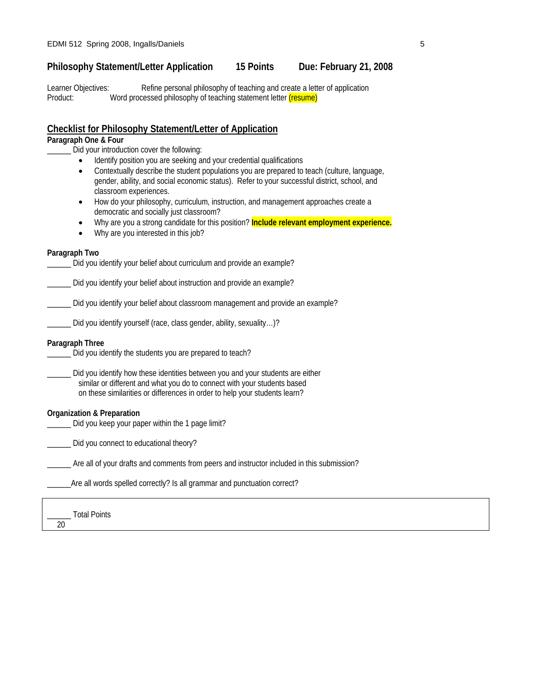# **Philosophy Statement/Letter Application 15 Points Due: February 21, 2008**

Learner Objectives: Refine personal philosophy of teaching and create a letter of application Product: Word processed philosophy of teaching statement letter (resume)

# **Checklist for Philosophy Statement/Letter of Application**

### **Paragraph One & Four**

\_\_\_\_\_\_ Did your introduction cover the following:

- Identify position you are seeking and your credential qualifications
- Contextually describe the student populations you are prepared to teach (culture, language, gender, ability, and social economic status). Refer to your successful district, school, and classroom experiences.
- How do your philosophy, curriculum, instruction, and management approaches create a democratic and socially just classroom?
- Why are you a strong candidate for this position? **Include relevant employment experience.**
- Why are you interested in this job?

### **Paragraph Two**

Did you identify your belief about curriculum and provide an example?

\_\_\_\_\_\_ Did you identify your belief about instruction and provide an example?

\_\_\_\_\_\_ Did you identify your belief about classroom management and provide an example?

\_\_\_\_\_\_ Did you identify yourself (race, class gender, ability, sexuality…)?

### **Paragraph Three**

Did you identify the students you are prepared to teach?

\_\_\_\_\_\_ Did you identify how these identities between you and your students are either similar or different and what you do to connect with your students based on these similarities or differences in order to help your students learn?

### **Organization & Preparation**

Did you keep your paper within the 1 page limit?

\_\_\_\_\_\_ Did you connect to educational theory?

Are all of your drafts and comments from peers and instructor included in this submission?

Are all words spelled correctly? Is all grammar and punctuation correct?

|    | <b>Total Points</b> |
|----|---------------------|
| 20 |                     |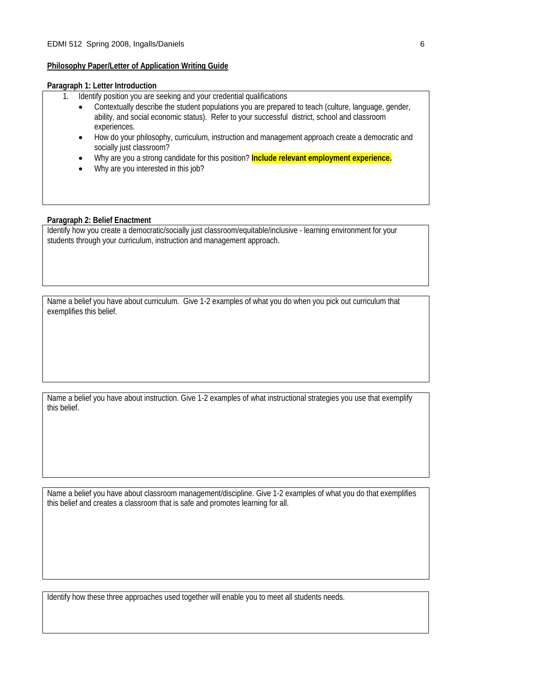### **Philosophy Paper/Letter of Application Writing Guide**

### **Paragraph 1: Letter Introduction**

- 1. Identify position you are seeking and your credential qualifications
	- Contextually describe the student populations you are prepared to teach (culture, language, gender, ability, and social economic status). Refer to your successful district, school and classroom experiences.
	- How do your philosophy, curriculum, instruction and management approach create a democratic and socially just classroom?
	- Why are you a strong candidate for this position? **Include relevant employment experience.**
	- Why are you interested in this job?

### **Paragraph 2: Belief Enactment**

Identify how you create a democratic/socially just classroom/equitable/inclusive - learning environment for your students through your curriculum, instruction and management approach.

Name a belief you have about curriculum. Give 1-2 examples of what you do when you pick out curriculum that exemplifies this belief.

Name a belief you have about instruction. Give 1-2 examples of what instructional strategies you use that exemplify this belief.

Name a belief you have about classroom management/discipline. Give 1-2 examples of what you do that exemplifies this belief and creates a classroom that is safe and promotes learning for all.

Identify how these three approaches used together will enable you to meet all students needs.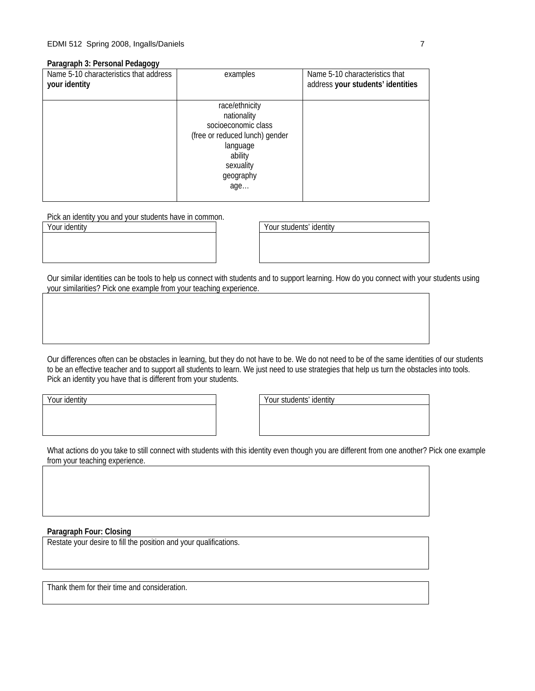#### **Paragraph 3: Personal Pedagogy**

| Name 5-10 characteristics that address<br>your identity | examples                                                                                                                                       | Name 5-10 characteristics that<br>address your students' identities |
|---------------------------------------------------------|------------------------------------------------------------------------------------------------------------------------------------------------|---------------------------------------------------------------------|
|                                                         | race/ethnicity<br>nationality<br>socioeconomic class<br>(free or reduced lunch) gender<br>language<br>ability<br>sexuality<br>geography<br>age |                                                                     |

Pick an identity you and your students have in common.

Your identity **Your students' identity** 

Our similar identities can be tools to help us connect with students and to support learning. How do you connect with your students using your similarities? Pick one example from your teaching experience.

Our differences often can be obstacles in learning, but they do not have to be. We do not need to be of the same identities of our students to be an effective teacher and to support all students to learn. We just need to use strategies that help us turn the obstacles into tools. Pick an identity you have that is different from your students.

Your identity **Your students'** identity

What actions do you take to still connect with students with this identity even though you are different from one another? Pick one example from your teaching experience.

### **Paragraph Four: Closing**

Restate your desire to fill the position and your qualifications.

Thank them for their time and consideration.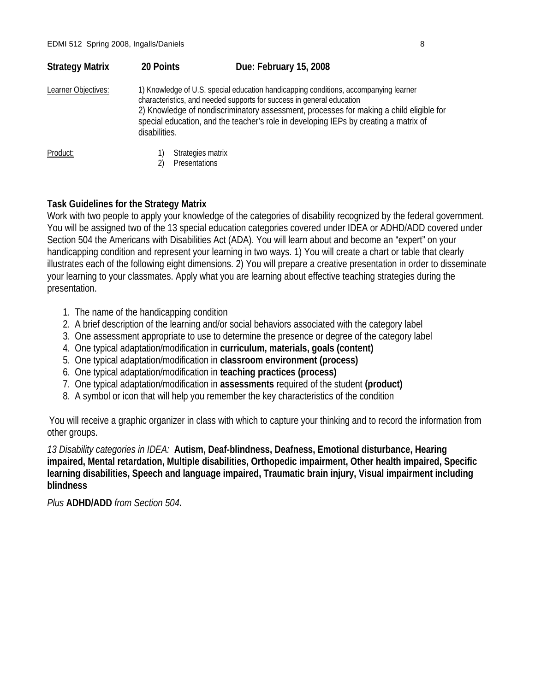| <b>Strategy Matrix</b> | 20 Points                                                                                                                                                                                                                                                                                                                                                         | Due: February 15, 2008 |
|------------------------|-------------------------------------------------------------------------------------------------------------------------------------------------------------------------------------------------------------------------------------------------------------------------------------------------------------------------------------------------------------------|------------------------|
| Learner Objectives:    | 1) Knowledge of U.S. special education handicapping conditions, accompanying learner<br>characteristics, and needed supports for success in general education<br>2) Knowledge of nondiscriminatory assessment, processes for making a child eligible for<br>special education, and the teacher's role in developing IEPs by creating a matrix of<br>disabilities. |                        |
| Product:               |                                                                                                                                                                                                                                                                                                                                                                   | Strategies matrix      |
|                        |                                                                                                                                                                                                                                                                                                                                                                   | Presentations          |

# **Task Guidelines for the Strategy Matrix**

Work with two people to apply your knowledge of the categories of disability recognized by the federal government. You will be assigned two of the 13 special education categories covered under IDEA or ADHD/ADD covered under Section 504 the Americans with Disabilities Act (ADA). You will learn about and become an "expert" on your handicapping condition and represent your learning in two ways. 1) You will create a chart or table that clearly illustrates each of the following eight dimensions. 2) You will prepare a creative presentation in order to disseminate your learning to your classmates. Apply what you are learning about effective teaching strategies during the presentation.

- 1. The name of the handicapping condition
- 2. A brief description of the learning and/or social behaviors associated with the category label
- 3. One assessment appropriate to use to determine the presence or degree of the category label
- 4. One typical adaptation/modification in **curriculum, materials, goals (content)**
- 5. One typical adaptation/modification in **classroom environment (process)**
- 6. One typical adaptation/modification in **teaching practices (process)**
- 7. One typical adaptation/modification in **assessments** required of the student **(product)**
- 8. A symbol or icon that will help you remember the key characteristics of the condition

You will receive a graphic organizer in class with which to capture your thinking and to record the information from other groups.

*13 Disability categories in IDEA:* **Autism, Deaf-blindness, Deafness, Emotional disturbance, Hearing impaired, Mental retardation, Multiple disabilities, Orthopedic impairment, Other health impaired, Specific learning disabilities, Speech and language impaired, Traumatic brain injury, Visual impairment including blindness** 

*Plus* **ADHD/ADD** *from Section 504***.**